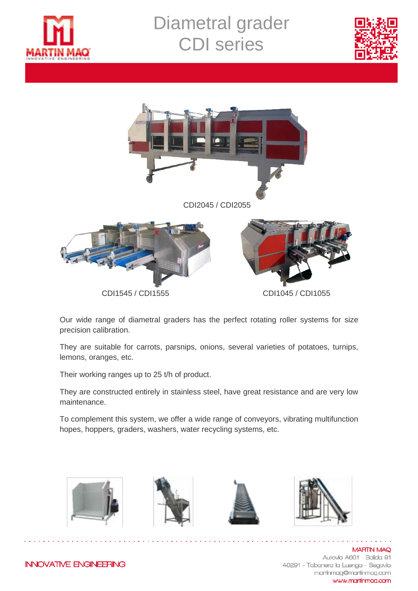

## Diametral grader CDI series





Our wide range of diametral graders has the perfect rotating roller systems for size precision calibration.

They are suitable for carrots, parsnips, onions, several varieties of potatoes, turnips, lemons, oranges, etc.

Their working ranges up to 25 t/h of product.

They are constructed entirely in stainless steel, have great resistance and are very low maintenance.

To complement this system, we offer a wide range of conveyors, vibrating multifunction hopes, hoppers, graders, washers, water recycling systems, etc.









**MARTIN MAQ** Autovía A601 - Salida 91 40291 - Tabanera la Luenga - Segovia martinmag@martinmag.com www.martinmag.com

**INNOVATIVE ENGINEERING**